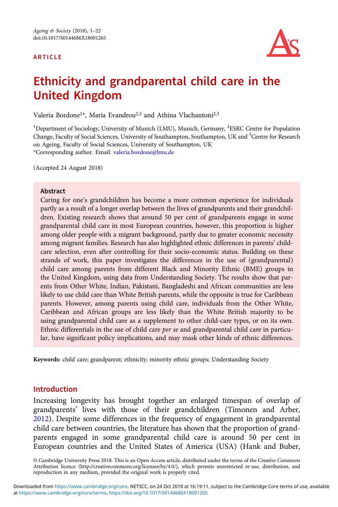## ARTICLE



# Ethnicity and grandparental child care in the United Kingdom

Valeria Bordone<sup>1\*</sup>, Maria Evandrou<sup>2,3</sup> and Athina Vlachantoni<sup>2,3</sup>

<sup>1</sup>Department of Sociology, University of Munich (LMU), Munich, Germany, <sup>2</sup>ESRC Centre for Population Change, Faculty of Social Sciences, University of Southampton, Southampton, UK and <sup>3</sup>Centre for Research on Ageing, Faculty of Social Sciences, University of Southampton, UK \*Corresponding author. Email: [valeria.bordone@lmu.de](mailto:valeria.bordone@lmu.de)

(Accepted 24 August 2018)

#### Abstract

Caring for one's grandchildren has become a more common experience for individuals partly as a result of a longer overlap between the lives of grandparents and their grandchildren. Existing research shows that around 50 per cent of grandparents engage in some grandparental child care in most European countries, however, this proportion is higher among older people with a migrant background, partly due to greater economic necessity among migrant families. Research has also highlighted ethnic differences in parents' childcare selection, even after controlling for their socio-economic status. Building on these strands of work, this paper investigates the differences in the use of (grandparental) child care among parents from different Black and Minority Ethnic (BME) groups in the United Kingdom, using data from Understanding Society. The results show that parents from Other White, Indian, Pakistani, Bangladeshi and African communities are less likely to use child care than White British parents, while the opposite is true for Caribbean parents. However, among parents using child care, individuals from the Other White, Caribbean and African groups are less likely than the White British majority to be using grandparental child care as a supplement to other child-care types, or on its own. Ethnic differentials in the use of child care per se and grandparental child care in particular, have significant policy implications, and may mask other kinds of ethnic differences.

Keywords: child care; grandparent; ethnicity; minority ethnic groups; Understanding Society

## Introduction

Increasing longevity has brought together an enlarged timespan of overlap of grandparents' lives with those of their grandchildren (Timonen and Arber, [2012](#page-20-0)). Despite some differences in the frequency of engagement in grandparental child care between countries, the literature has shown that the proportion of grandparents engaged in some grandparental child care is around 50 per cent in European countries and the United States of America (USA) (Hank and Buber,

© Cambridge University Press 2018. This is an Open Access article, distributed under the terms of the Creative Commons Attribution licence (http://creativecommons.org/licenses/by/4.0/), which permits unrestricted re-use, distribution, and reproduction in any medium, provided the original work is properly cited.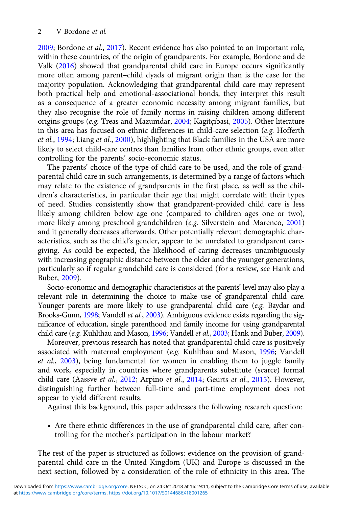[2009;](#page-20-0) Bordone et al., [2017\)](#page-19-0). Recent evidence has also pointed to an important role, within these countries, of the origin of grandparents. For example, Bordone and de Valk ([2016](#page-20-0)) showed that grandparental child care in Europe occurs significantly more often among parent–child dyads of migrant origin than is the case for the majority population. Acknowledging that grandparental child care may represent both practical help and emotional-associational bonds, they interpret this result as a consequence of a greater economic necessity among migrant families, but they also recognise the role of family norms in raising children among different origins groups (e.g. Treas and Mazumdar, [2004;](#page-21-0) Kagitçibasi, [2005](#page-20-0)). Other literature in this area has focused on ethnic differences in child-care selection (e.g. Hofferth et al., [1994](#page-20-0); Liang et al., [2000](#page-20-0)), highlighting that Black families in the USA are more likely to select child-care centres than families from other ethnic groups, even after controlling for the parents' socio-economic status.

The parents' choice of the type of child care to be used, and the role of grandparental child care in such arrangements, is determined by a range of factors which may relate to the existence of grandparents in the first place, as well as the children's characteristics, in particular their age that might correlate with their types of need. Studies consistently show that grandparent-provided child care is less likely among children below age one (compared to children ages one or two), more likely among preschool grandchildren (e.g. Silverstein and Marenco, [2001\)](#page-20-0) and it generally decreases afterwards. Other potentially relevant demographic characteristics, such as the child's gender, appear to be unrelated to grandparent caregiving. As could be expected, the likelihood of caring decreases unambiguously with increasing geographic distance between the older and the younger generations, particularly so if regular grandchild care is considered (for a review, see Hank and Buber, [2009](#page-20-0)).

Socio-economic and demographic characteristics at the parents' level may also play a relevant role in determining the choice to make use of grandparental child care. Younger parents are more likely to use grandparental child care (e.g. Baydar and Brooks-Gunn, [1998](#page-19-0); Vandell et al., [2003](#page-21-0)). Ambiguous evidence exists regarding the significance of education, single parenthood and family income for using grandparental child care (e.g. Kuhlthau and Mason, [1996;](#page-20-0) Vandell et al., [2003](#page-21-0); Hank and Buber, [2009\)](#page-20-0).

Moreover, previous research has noted that grandparental child care is positively associated with maternal employment (e.g. Kuhlthau and Mason, [1996](#page-20-0); Vandell et al., [2003](#page-21-0)), being fundamental for women in enabling them to juggle family and work, especially in countries where grandparents substitute (scarce) formal child care (Aassve et al., [2012;](#page-19-0) Arpino et al., [2014;](#page-19-0) Geurts et al., [2015\)](#page-20-0). However, distinguishing further between full-time and part-time employment does not appear to yield different results.

Against this background, this paper addresses the following research question:

• Are there ethnic differences in the use of grandparental child care, after controlling for the mother's participation in the labour market?

The rest of the paper is structured as follows: evidence on the provision of grandparental child care in the United Kingdom (UK) and Europe is discussed in the next section, followed by a consideration of the role of ethnicity in this area. The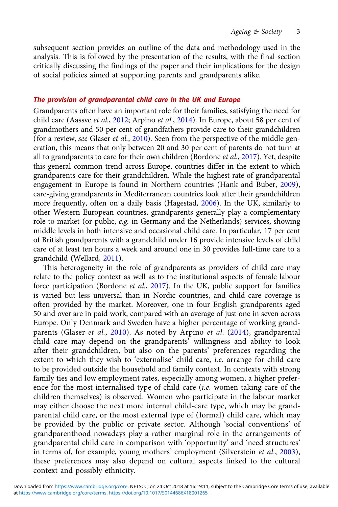subsequent section provides an outline of the data and methodology used in the analysis. This is followed by the presentation of the results, with the final section critically discussing the findings of the paper and their implications for the design of social policies aimed at supporting parents and grandparents alike.

## The provision of grandparental child care in the UK and Europe

Grandparents often have an important role for their families, satisfying the need for child care (Aassve et al., [2012;](#page-19-0) Arpino et al., [2014](#page-19-0)). In Europe, about 58 per cent of grandmothers and 50 per cent of grandfathers provide care to their grandchildren (for a review, see Glaser et al., [2010](#page-20-0)). Seen from the perspective of the middle generation, this means that only between 20 and 30 per cent of parents do not turn at all to grandparents to care for their own children (Bordone et al., [2017](#page-19-0)). Yet, despite this general common trend across Europe, countries differ in the extent to which grandparents care for their grandchildren. While the highest rate of grandparental engagement in Europe is found in Northern countries (Hank and Buber, [2009\)](#page-20-0), care-giving grandparents in Mediterranean countries look after their grandchildren more frequently, often on a daily basis (Hagestad, [2006](#page-20-0)). In the UK, similarly to other Western European countries, grandparents generally play a complementary role to market (or public, e.g. in Germany and the Netherlands) services, showing middle levels in both intensive and occasional child care. In particular, 17 per cent of British grandparents with a grandchild under 16 provide intensive levels of child care of at least ten hours a week and around one in 30 provides full-time care to a grandchild (Wellard, [2011](#page-21-0)).

This heterogeneity in the role of grandparents as providers of child care may relate to the policy context as well as to the institutional aspects of female labour force participation (Bordone et al., [2017\)](#page-19-0). In the UK, public support for families is varied but less universal than in Nordic countries, and child care coverage is often provided by the market. Moreover, one in four English grandparents aged 50 and over are in paid work, compared with an average of just one in seven across Europe. Only Denmark and Sweden have a higher percentage of working grand-parents (Glaser et al., [2010](#page-20-0)). As noted by Arpino et al. [\(2014\)](#page-19-0), grandparental child care may depend on the grandparents' willingness and ability to look after their grandchildren, but also on the parents' preferences regarding the extent to which they wish to 'externalise' child care, i.e. arrange for child care to be provided outside the household and family context. In contexts with strong family ties and low employment rates, especially among women, a higher preference for the most internalised type of child care (i.e. women taking care of the children themselves) is observed. Women who participate in the labour market may either choose the next more internal child-care type, which may be grandparental child care, or the most external type of (formal) child care, which may be provided by the public or private sector. Although 'social conventions' of grandparenthood nowadays play a rather marginal role in the arrangements of grandparental child care in comparison with 'opportunity' and 'need structures' in terms of, for example, young mothers' employment (Silverstein et al., [2003\)](#page-20-0), these preferences may also depend on cultural aspects linked to the cultural context and possibly ethnicity.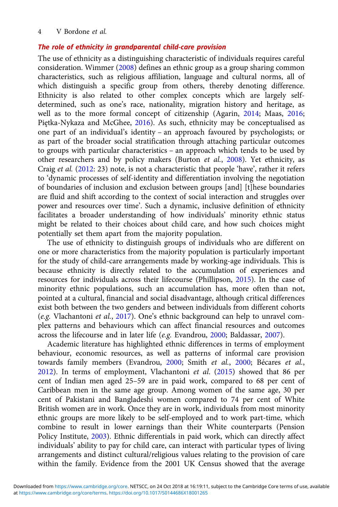# The role of ethnicity in grandparental child-care provision

The use of ethnicity as a distinguishing characteristic of individuals requires careful consideration. Wimmer [\(2008\)](#page-21-0) defines an ethnic group as a group sharing common characteristics, such as religious affiliation, language and cultural norms, all of which distinguish a specific group from others, thereby denoting difference. Ethnicity is also related to other complex concepts which are largely selfdetermined, such as one's race, nationality, migration history and heritage, as well as to the more formal concept of citizenship (Agarin, [2014](#page-19-0); Maas, [2016](#page-20-0); Piętka-Nykaza and McGhee, [2016\)](#page-20-0). As such, ethnicity may be conceptualised as one part of an individual's identity – an approach favoured by psychologists; or as part of the broader social stratification through attaching particular outcomes to groups with particular characteristics – an approach which tends to be used by other researchers and by policy makers (Burton et al., [2008\)](#page-20-0). Yet ethnicity, as Craig et al. [\(2012](#page-20-0): 23) note, is not a characteristic that people 'have', rather it refers to 'dynamic processes of self-identity and differentiation involving the negotiation of boundaries of inclusion and exclusion between groups [and] [t]hese boundaries are fluid and shift according to the context of social interaction and struggles over power and resources over time'. Such a dynamic, inclusive definition of ethnicity facilitates a broader understanding of how individuals' minority ethnic status might be related to their choices about child care, and how such choices might potentially set them apart from the majority population.

The use of ethnicity to distinguish groups of individuals who are different on one or more characteristics from the majority population is particularly important for the study of child-care arrangements made by working-age individuals. This is because ethnicity is directly related to the accumulation of experiences and resources for individuals across their lifecourse (Phillipson, [2015](#page-20-0)). In the case of minority ethnic populations, such an accumulation has, more often than not, pointed at a cultural, financial and social disadvantage, although critical differences exist both between the two genders and between individuals from different cohorts (e.g. Vlachantoni et al., [2017](#page-21-0)). One's ethnic background can help to unravel complex patterns and behaviours which can affect financial resources and outcomes across the lifecourse and in later life (e.g. Evandrou, [2000;](#page-20-0) Baldassar, [2007](#page-19-0)).

Academic literature has highlighted ethnic differences in terms of employment behaviour, economic resources, as well as patterns of informal care provision towards family members (Evandrou, [2000;](#page-20-0) Smith et al., [2000](#page-20-0); Bécares et al., [2012\)](#page-19-0). In terms of employment, Vlachantoni et al. ([2015](#page-21-0)) showed that 86 per cent of Indian men aged 25–59 are in paid work, compared to 68 per cent of Caribbean men in the same age group. Among women of the same age, 30 per cent of Pakistani and Bangladeshi women compared to 74 per cent of White British women are in work. Once they are in work, individuals from most minority ethnic groups are more likely to be self-employed and to work part-time, which combine to result in lower earnings than their White counterparts (Pension Policy Institute, [2003](#page-20-0)). Ethnic differentials in paid work, which can directly affect individuals' ability to pay for child care, can interact with particular types of living arrangements and distinct cultural/religious values relating to the provision of care within the family. Evidence from the 2001 UK Census showed that the average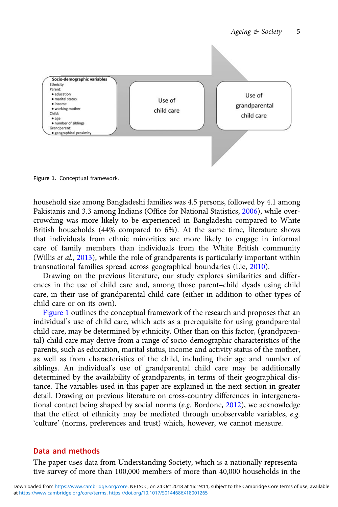<span id="page-4-0"></span>

Figure 1. Conceptual framework.

household size among Bangladeshi families was 4.5 persons, followed by 4.1 among Pakistanis and 3.3 among Indians (Office for National Statistics, [2006](#page-20-0)), while overcrowding was more likely to be experienced in Bangladeshi compared to White British households (44% compared to 6%). At the same time, literature shows that individuals from ethnic minorities are more likely to engage in informal care of family members than individuals from the White British community (Willis et al., [2013\)](#page-21-0), while the role of grandparents is particularly important within transnational families spread across geographical boundaries (Lie, [2010](#page-20-0)).

Drawing on the previous literature, our study explores similarities and differences in the use of child care and, among those parent–child dyads using child care, in their use of grandparental child care (either in addition to other types of child care or on its own).

Figure 1 outlines the conceptual framework of the research and proposes that an individual's use of child care, which acts as a prerequisite for using grandparental child care, may be determined by ethnicity. Other than on this factor, (grandparental) child care may derive from a range of socio-demographic characteristics of the parents, such as education, marital status, income and activity status of the mother, as well as from characteristics of the child, including their age and number of siblings. An individual's use of grandparental child care may be additionally determined by the availability of grandparents, in terms of their geographical distance. The variables used in this paper are explained in the next section in greater detail. Drawing on previous literature on cross-country differences in intergenerational contact being shaped by social norms  $(e.g.$  Bordone,  $2012$ ), we acknowledge that the effect of ethnicity may be mediated through unobservable variables, e.g. 'culture' (norms, preferences and trust) which, however, we cannot measure.

# Data and methods

The paper uses data from Understanding Society, which is a nationally representative survey of more than 100,000 members of more than 40,000 households in the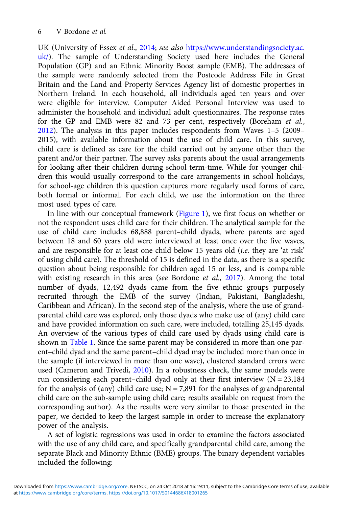UK (University of Essex et al., [2014](#page-21-0); see also [https://www.understandingsociety.ac.](https://www.understandingsociety.ac.uk/) [uk/\)](https://www.understandingsociety.ac.uk/). The sample of Understanding Society used here includes the General Population (GP) and an Ethnic Minority Boost sample (EMB). The addresses of the sample were randomly selected from the Postcode Address File in Great Britain and the Land and Property Services Agency list of domestic properties in Northern Ireland. In each household, all individuals aged ten years and over were eligible for interview. Computer Aided Personal Interview was used to administer the household and individual adult questionnaires. The response rates for the GP and EMB were 82 and 73 per cent, respectively (Boreham et al., [2012\)](#page-20-0). The analysis in this paper includes respondents from Waves 1–5 (2009– 2015), with available information about the use of child care. In this survey, child care is defined as care for the child carried out by anyone other than the parent and/or their partner. The survey asks parents about the usual arrangements for looking after their children during school term-time. While for younger children this would usually correspond to the care arrangements in school holidays, for school-age children this question captures more regularly used forms of care, both formal or informal. For each child, we use the information on the three most used types of care.

In line with our conceptual framework ([Figure 1\)](#page-4-0), we first focus on whether or not the respondent uses child care for their children. The analytical sample for the use of child care includes 68,888 parent–child dyads, where parents are aged between 18 and 60 years old were interviewed at least once over the five waves, and are responsible for at least one child below 15 years old (i.e. they are 'at risk' of using child care). The threshold of 15 is defined in the data, as there is a specific question about being responsible for children aged 15 or less, and is comparable with existing research in this area (see Bordone et al., [2017\)](#page-19-0). Among the total number of dyads, 12,492 dyads came from the five ethnic groups purposely recruited through the EMB of the survey (Indian, Pakistani, Bangladeshi, Caribbean and African). In the second step of the analysis, where the use of grandparental child care was explored, only those dyads who make use of (any) child care and have provided information on such care, were included, totalling 25,145 dyads. An overview of the various types of child care used by dyads using child care is shown in [Table 1](#page-6-0). Since the same parent may be considered in more than one parent–child dyad and the same parent–child dyad may be included more than once in the sample (if interviewed in more than one wave), clustered standard errors were used (Cameron and Trivedi, [2010\)](#page-20-0). In a robustness check, the same models were run considering each parent–child dyad only at their first interview  $(N = 23,184)$ for the analysis of (any) child care use;  $N = 7,891$  for the analyses of grandparental child care on the sub-sample using child care; results available on request from the corresponding author). As the results were very similar to those presented in the paper, we decided to keep the largest sample in order to increase the explanatory power of the analysis.

A set of logistic regressions was used in order to examine the factors associated with the use of any child care, and specifically grandparental child care, among the separate Black and Minority Ethnic (BME) groups. The binary dependent variables included the following: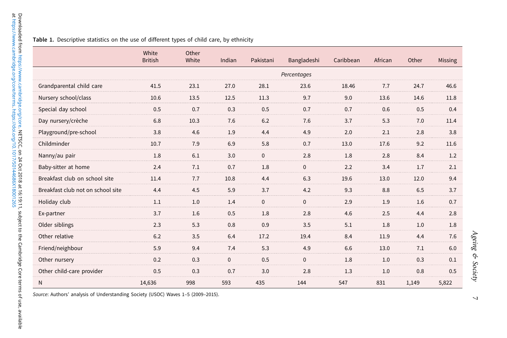#### <span id="page-6-0"></span>Table 1. Descriptive statistics on the use of different types of child care, by ethnicity

|                                   | White<br><b>British</b> | Other<br>White | Indian       | Pakistani    | Bangladeshi  | Caribbean | African | Other | Missing |
|-----------------------------------|-------------------------|----------------|--------------|--------------|--------------|-----------|---------|-------|---------|
|                                   |                         |                |              |              | Percentages  |           |         |       |         |
| Grandparental child care          | 41.5                    | 23.1           | 27.0         | 28.1         | 23.6         | 18.46     | 7.7     | 24.7  | 46.6    |
| Nursery school/class              | 10.6                    | 13.5           | 12.5         | 11.3         | 9.7          | 9.0       | 13.6    | 14.6  | 11.8    |
| Special day school                | 0.5                     | 0.7            | 0.3          | 0.5          | 0.7          | 0.7       | 0.6     | 0.5   | 0.4     |
| Day nursery/crèche                | 6.8                     | 10.3           | 7.6          | 6.2          | 7.6          | 3.7       | 5.3     | 7.0   | 11.4    |
| Playground/pre-school             | 3.8                     | 4.6            | 1.9          | 4.4          | 4.9          | 2.0       | 2.1     | 2.8   | 3.8     |
| Childminder                       | 10.7                    | 7.9            | 6.9          | 5.8          | 0.7          | 13.0      | 17.6    | 9.2   | 11.6    |
| Nanny/au pair                     | 1.8                     | 6.1            | 3.0          | $\pmb{0}$    | 2.8          | 1.8       | 2.8     | 8.4   | 1.2     |
| Baby-sitter at home               | 2.4                     | 7.1            | 0.7          | 1.8          | $\mathbf{0}$ | 2.2       | 3.4     | 1.7   | 2.1     |
| Breakfast club on school site     | 11.4                    | 7.7            | 10.8         | 4.4          | 6.3          | 19.6      | 13.0    | 12.0  | 9.4     |
| Breakfast club not on school site | 4.4                     | 4.5            | 5.9          | 3.7          | 4.2          | 9.3       | 8.8     | 6.5   | 3.7     |
| Holiday club                      | 1.1                     | 1.0            | 1.4          | $\mathbf{0}$ | $\mathbf{0}$ | 2.9       | 1.9     | 1.6   | 0.7     |
| Ex-partner                        | 3.7                     | 1.6            | 0.5          | 1.8          | 2.8          | 4.6       | 2.5     | 4.4   | 2.8     |
| Older siblings                    | 2.3                     | 5.3            | 0.8          | 0.9          | 3.5          | 5.1       | 1.8     | 1.0   | 1.8     |
| Other relative                    | 6.2                     | 3.5            | 6.4          | 17.2         | 19.4         | 8.4       | 11.9    | 4.4   | 7.6     |
| Friend/neighbour                  | 5.9                     | 9.4            | 7.4          | 5.3          | 4.9          | 6.6       | 13.0    | 7.1   | 6.0     |
| Other nursery                     | 0.2                     | 0.3            | $\mathbf{0}$ | 0.5          | $\mathbf 0$  | 1.8       | 1.0     | 0.3   | 0.1     |
| Other child-care provider         | 0.5                     | 0.3            | 0.7          | 3.0          | 2.8          | 1.3       | 1.0     | 0.8   | 0.5     |
| $\mathsf{N}$                      | 14,636                  | 998            | 593          | 435          | 144          | 547       | 831     | 1,149 | 5,822   |

Source: Authors' analysis of Understanding Society (USOC) Waves <sup>1</sup>–<sup>5</sup> (2009–2015).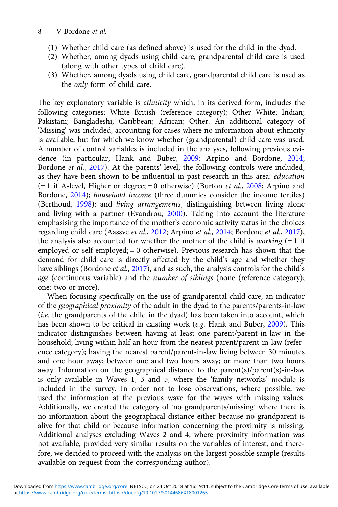- (1) Whether child care (as defined above) is used for the child in the dyad.
- (2) Whether, among dyads using child care, grandparental child care is used (along with other types of child care).
- (3) Whether, among dyads using child care, grandparental child care is used as the only form of child care.

The key explanatory variable is ethnicity which, in its derived form, includes the following categories: White British (reference category); Other White; Indian; Pakistani; Bangladeshi; Caribbean; African; Other. An additional category of 'Missing' was included, accounting for cases where no information about ethnicity is available, but for which we know whether (grandparental) child care was used. A number of control variables is included in the analyses, following previous evidence (in particular, Hank and Buber, [2009](#page-20-0); Arpino and Bordone, [2014](#page-19-0); Bordone et al., [2017](#page-19-0)). At the parents' level, the following controls were included, as they have been shown to be influential in past research in this area: education  $(= 1 \text{ if } A$ -level, Higher or degree;  $= 0$  otherwise) (Burton *et al.*, [2008;](#page-20-0) Arpino and Bordone, [2014](#page-19-0)); household income (three dummies consider the income tertiles) (Berthoud, [1998\)](#page-19-0); and living arrangements, distinguishing between living alone and living with a partner (Evandrou, [2000\)](#page-20-0). Taking into account the literature emphasising the importance of the mother's economic activity status in the choices regarding child care (Aassve et al., [2012;](#page-19-0) Arpino et al., [2014](#page-19-0); Bordone et al., [2017\)](#page-19-0), the analysis also accounted for whether the mother of the child is working  $(= 1 \text{ if})$ employed or self-employed; = 0 otherwise). Previous research has shown that the demand for child care is directly affected by the child's age and whether they have siblings (Bordone *et al.*, [2017](#page-19-0)), and as such, the analysis controls for the child's age (continuous variable) and the number of siblings (none (reference category); one; two or more).

When focusing specifically on the use of grandparental child care, an indicator of the geographical proximity of the adult in the dyad to the parents/parents-in-law (i.e. the grandparents of the child in the dyad) has been taken into account, which has been shown to be critical in existing work (e.g. Hank and Buber, [2009\)](#page-20-0). This indicator distinguishes between having at least one parent/parent-in-law in the household; living within half an hour from the nearest parent/parent-in-law (reference category); having the nearest parent/parent-in-law living between 30 minutes and one hour away; between one and two hours away; or more than two hours away. Information on the geographical distance to the parent(s)/parent(s)-in-law is only available in Waves 1, 3 and 5, where the 'family networks' module is included in the survey. In order not to lose observations, where possible, we used the information at the previous wave for the waves with missing values. Additionally, we created the category of 'no grandparents/missing' where there is no information about the geographical distance either because no grandparent is alive for that child or because information concerning the proximity is missing. Additional analyses excluding Waves 2 and 4, where proximity information was not available, provided very similar results on the variables of interest, and therefore, we decided to proceed with the analysis on the largest possible sample (results available on request from the corresponding author).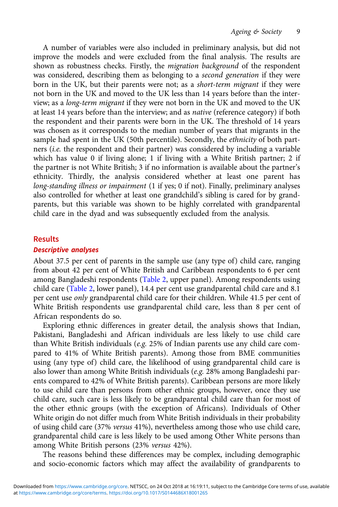A number of variables were also included in preliminary analysis, but did not improve the models and were excluded from the final analysis. The results are shown as robustness checks. Firstly, the *migration background* of the respondent was considered, describing them as belonging to a second generation if they were born in the UK, but their parents were not; as a short-term migrant if they were not born in the UK and moved to the UK less than 14 years before than the interview; as a long-term migrant if they were not born in the UK and moved to the UK at least 14 years before than the interview; and as native (reference category) if both the respondent and their parents were born in the UK. The threshold of 14 years was chosen as it corresponds to the median number of years that migrants in the sample had spent in the UK (50th percentile). Secondly, the ethnicity of both partners (i.e. the respondent and their partner) was considered by including a variable which has value 0 if living alone; 1 if living with a White British partner; 2 if the partner is not White British; 3 if no information is available about the partner's ethnicity. Thirdly, the analysis considered whether at least one parent has long-standing illness or impairment (1 if yes; 0 if not). Finally, preliminary analyses also controlled for whether at least one grandchild's sibling is cared for by grandparents, but this variable was shown to be highly correlated with grandparental child care in the dyad and was subsequently excluded from the analysis.

## Results

#### Descriptive analyses

About 37.5 per cent of parents in the sample use (any type of) child care, ranging from about 42 per cent of White British and Caribbean respondents to 6 per cent among Bangladeshi respondents [\(Table 2,](#page-9-0) upper panel). Among respondents using child care [\(Table 2](#page-9-0), lower panel), 14.4 per cent use grandparental child care and 8.1 per cent use only grandparental child care for their children. While 41.5 per cent of White British respondents use grandparental child care, less than 8 per cent of African respondents do so.

Exploring ethnic differences in greater detail, the analysis shows that Indian, Pakistani, Bangladeshi and African individuals are less likely to use child care than White British individuals (e.g. 25% of Indian parents use any child care compared to 41% of White British parents). Among those from BME communities using (any type of) child care, the likelihood of using grandparental child care is also lower than among White British individuals (e.g. 28% among Bangladeshi parents compared to 42% of White British parents). Caribbean persons are more likely to use child care than persons from other ethnic groups, however, once they use child care, such care is less likely to be grandparental child care than for most of the other ethnic groups (with the exception of Africans). Individuals of Other White origin do not differ much from White British individuals in their probability of using child care (37% versus 41%), nevertheless among those who use child care, grandparental child care is less likely to be used among Other White persons than among White British persons (23% versus 42%).

The reasons behind these differences may be complex, including demographic and socio-economic factors which may affect the availability of grandparents to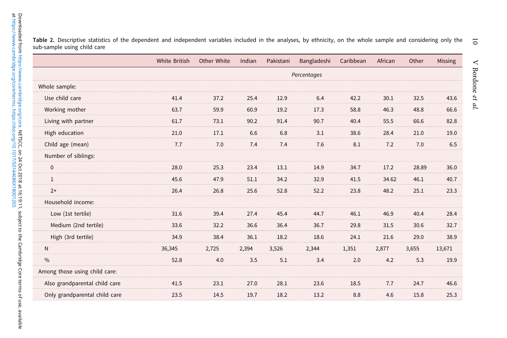<span id="page-9-0"></span> $\overline{5}$ Table 2. Descriptive statistics of the dependent and independent variables included in the analyses, by ethnicity, on the whole sample and considering only the sub-sample using child care

|                               | White British | Other White | Indian | Pakistani | Bangladeshi | Caribbean | African | Other | Missing |
|-------------------------------|---------------|-------------|--------|-----------|-------------|-----------|---------|-------|---------|
|                               |               |             |        |           | Percentages |           |         |       |         |
| Whole sample:                 |               |             |        |           |             |           |         |       |         |
| Use child care                | 41.4          | 37.2        | 25.4   | 12.9      | 6.4         | 42.2      | 30.1    | 32.5  | 43.6    |
| Working mother                | 63.7          | 59.9        | 60.9   | 19.2      | 17.3        | 58.8      | 46.3    | 48.8  | 66.6    |
| Living with partner           | 61.7          | 73.1        | 90.2   | 91.4      | 90.7        | 40.4      | 55.5    | 66.6  | 82.8    |
| High education                | 21.0          | 17.1        | 6.6    | 6.8       | 3.1         | 38.6      | 28.4    | 21.0  | 19.0    |
| Child age (mean)              | 7.7           | 7.0         | 7.4    | 7.4       | 7.6         | 8.1       | 7.2     | 7.0   | 6.5     |
| Number of siblings:           |               |             |        |           |             |           |         |       |         |
| $\mathbf 0$                   | 28.0          | 25.3        | 23.4   | 13.1      | 14.9        | 34.7      | 17.2    | 28.89 | 36.0    |
| $\mathbf{1}$                  | 45.6          | 47.9        | 51.1   | 34.2      | 32.9        | 41.5      | 34.62   | 46.1  | 40.7    |
| $2+$                          | 26.4          | 26.8        | 25.6   | 52.8      | 52.2        | 23.8      | 48.2    | 25.1  | 23.3    |
| Household income:             |               |             |        |           |             |           |         |       |         |
| Low (1st tertile)             | 31.6          | 39.4        | 27.4   | 45.4      | 44.7        | 46.1      | 46.9    | 40.4  | 28.4    |
| Medium (2nd tertile)          | 33.6          | 32.2        | 36.6   | 36.4      | 36.7        | 29.8      | 31.5    | 30.6  | 32.7    |
| High (3rd tertile)            | 34.9          | 38.4        | 36.1   | 18.2      | 18.6        | 24.1      | 21.6    | 29.0  | 38.9    |
| $\mathsf{N}$                  | 36,345        | 2,725       | 2,394  | 3,526     | 2,344       | 1,351     | 2,877   | 3,655 | 13,671  |
| $\frac{0}{0}$                 | 52.8          | 4.0         | 3.5    | 5.1       | 3.4         | 2.0       | 4.2     | 5.3   | 19.9    |
| Among those using child care: |               |             |        |           |             |           |         |       |         |
| Also grandparental child care | 41.5          | 23.1        | 27.0   | 28.1      | 23.6        | 18.5      | 7.7     | 24.7  | 46.6    |
| Only grandparental child care | 23.5          | 14.5        | 19.7   | 18.2      | 13.2        | 8.8       | 4.6     | 15.8  | 25.3    |

 $\overline{\phantom{0}}$ 

10 V Bordone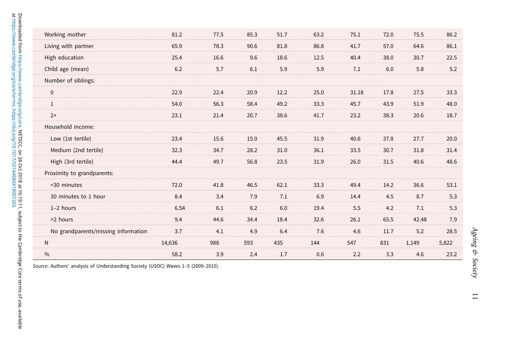| Low (1st tertile)                   | 23.4   | 15.6 | 15.0 | 45.5 | 31.9 | 40.6 | 37.8 | 27.7  | 20.0  |
|-------------------------------------|--------|------|------|------|------|------|------|-------|-------|
| Medium (2nd tertile)                | 32.3   | 34.7 | 28.2 | 31.0 | 36.1 | 33.5 | 30.7 | 31.8  | 31.4  |
| High (3rd tertile)                  | 44.4   | 49.7 | 56.8 | 23.5 | 31.9 | 26.0 | 31.5 | 40.6  | 48.6  |
| Proximity to grandparents:          |        |      |      |      |      |      |      |       |       |
| <30 minutes                         | 72.0   | 41.8 | 46.5 | 62.1 | 33.3 | 49.4 | 14.2 | 36.6  | 53.1  |
| 30 minutes to 1 hour                | 8.4    | 3.4  | 7.9  | 7.1  | 6.9  | 14.4 | 4.5  | 8.7   | 5.3   |
| 1-2 hours                           | 6.54   | 6.1  | 6.2  | 6.0  | 19.4 | 5.5  | 4.2  | 7.1   | 5.3   |
| >2 hours                            | 9.4    | 44.6 | 34.4 | 18.4 | 32.6 | 26.1 | 65.5 | 42.48 | 7.9   |
| No grandparents/missing information | 3.7    | 4.1  | 4.9  | 6.4  | 7.6  | 4.6  | 11.7 | 5.2   | 28.5  |
| ${\sf N}$                           | 14,636 | 988  | 593  | 435  | 144  | 547  | 831  | 1,149 | 5,822 |
| $\frac{0}{0}$                       | 58.2   | 3.9  | 2.4  | 1.7  | 0.6  | 2.2  | 3.3  | 4.6   | 23.2  |

Source: Authors' analysis of Understanding Society (USOC) Waves <sup>1</sup>–<sup>5</sup> (2009–2015).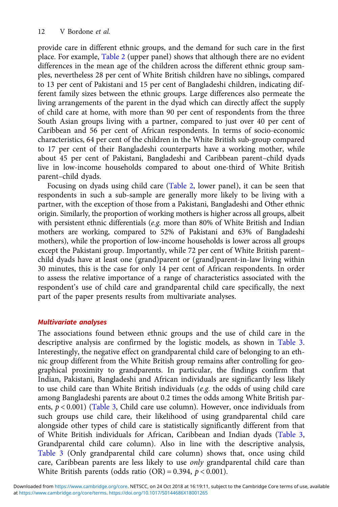provide care in different ethnic groups, and the demand for such care in the first place. For example, [Table 2](#page-9-0) (upper panel) shows that although there are no evident differences in the mean age of the children across the different ethnic group samples, nevertheless 28 per cent of White British children have no siblings, compared to 13 per cent of Pakistani and 15 per cent of Bangladeshi children, indicating different family sizes between the ethnic groups. Large differences also permeate the living arrangements of the parent in the dyad which can directly affect the supply of child care at home, with more than 90 per cent of respondents from the three South Asian groups living with a partner, compared to just over 40 per cent of Caribbean and 56 per cent of African respondents. In terms of socio-economic characteristics, 64 per cent of the children in the White British sub-group compared to 17 per cent of their Bangladeshi counterparts have a working mother, while about 45 per cent of Pakistani, Bangladeshi and Caribbean parent–child dyads live in low-income households compared to about one-third of White British parent–child dyads.

Focusing on dyads using child care [\(Table 2](#page-9-0), lower panel), it can be seen that respondents in such a sub-sample are generally more likely to be living with a partner, with the exception of those from a Pakistani, Bangladeshi and Other ethnic origin. Similarly, the proportion of working mothers is higher across all groups, albeit with persistent ethnic differentials (e.g. more than 80% of White British and Indian mothers are working, compared to 52% of Pakistani and 63% of Bangladeshi mothers), while the proportion of low-income households is lower across all groups except the Pakistani group. Importantly, while 72 per cent of White British parent– child dyads have at least one (grand)parent or (grand)parent-in-law living within 30 minutes, this is the case for only 14 per cent of African respondents. In order to assess the relative importance of a range of characteristics associated with the respondent's use of child care and grandparental child care specifically, the next part of the paper presents results from multivariate analyses.

## Multivariate analyses

The associations found between ethnic groups and the use of child care in the descriptive analysis are confirmed by the logistic models, as shown in [Table 3](#page-12-0). Interestingly, the negative effect on grandparental child care of belonging to an ethnic group different from the White British group remains after controlling for geographical proximity to grandparents. In particular, the findings confirm that Indian, Pakistani, Bangladeshi and African individuals are significantly less likely to use child care than White British individuals (e.g. the odds of using child care among Bangladeshi parents are about 0.2 times the odds among White British parents,  $p < 0.001$ ) [\(Table 3,](#page-12-0) Child care use column). However, once individuals from such groups use child care, their likelihood of using grandparental child care alongside other types of child care is statistically significantly different from that of White British individuals for African, Caribbean and Indian dyads [\(Table 3](#page-12-0), Grandparental child care column). Also in line with the descriptive analysis, [Table 3](#page-12-0) (Only grandparental child care column) shows that, once using child care, Caribbean parents are less likely to use only grandparental child care than White British parents (odds ratio  $(OR) = 0.394$ ,  $p < 0.001$ ).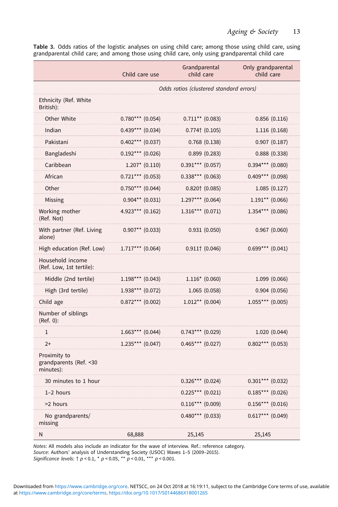<span id="page-12-0"></span>Table 3. Odds ratios of the logistic analyses on using child care; among those using child care, using grandparental child care; and among those using child care, only using grandparental child care

|                                                      | Child care use     | Grandparental<br>child care             | Only grandparental<br>child care |
|------------------------------------------------------|--------------------|-----------------------------------------|----------------------------------|
|                                                      |                    | Odds ratios (clustered standard errors) |                                  |
| Ethnicity (Ref. White<br>British):                   |                    |                                         |                                  |
| Other White                                          | $0.780***$ (0.054) | $0.711**$ (0.083)                       | 0.856(0.116)                     |
| Indian                                               | $0.439***$ (0.034) | $0.774$ † $(0.105)$                     | 1.116(0.168)                     |
| Pakistani                                            | $0.402***$ (0.037) | 0.768(0.138)                            | 0.907(0.187)                     |
| Bangladeshi                                          | $0.192***$ (0.026) | 0.899(0.283)                            | 0.888(0.338)                     |
| Caribbean                                            | $1.207*$ (0.110)   | $0.391***$ (0.057)                      | $0.394***$ (0.080)               |
| African                                              | $0.721***$ (0.053) | $0.338***$ (0.063)                      | $0.409***$ (0.098)               |
| Other                                                | $0.750***$ (0.044) | $0.820$ $(0.085)$                       | 1.085(0.127)                     |
| Missing                                              | $0.904**$ (0.031)  | $1.297***$ (0.064)                      | $1.191**$ (0.066)                |
| Working mother<br>(Ref. Not)                         | $4.923***$ (0.162) | $1.316***$ (0.071)                      | $1.354***$ (0.086)               |
| With partner (Ref. Living<br>alone)                  | $0.907**$ (0.033)  | 0.931(0.050)                            | 0.967(0.060)                     |
| High education (Ref. Low)                            | $1.717***$ (0.064) | $0.911$ † $(0.046)$                     | $0.699***$ (0.041)               |
| Household income<br>(Ref. Low, 1st tertile):         |                    |                                         |                                  |
| Middle (2nd tertile)                                 | $1.198***$ (0.043) | $1.116*(0.060)$                         | 1.099(0.066)                     |
| High (3rd tertile)                                   | $1.938***$ (0.072) | 1.065(0.058)                            | 0.904(0.056)                     |
| Child age                                            | $0.872***$ (0.002) | $1.012**$ (0.004)                       | $1.055***$ (0.005)               |
| Number of siblings<br>(Ref. 0):                      |                    |                                         |                                  |
| $\mathbf{1}$                                         | $1.663***$ (0.044) | $0.743***$ (0.029)                      | 1.020(0.044)                     |
| $2+$                                                 | $1.235***$ (0.047) | $0.465***$ (0.027)                      | $0.802***$ (0.053)               |
| Proximity to<br>grandparents (Ref. < 30<br>minutes): |                    |                                         |                                  |
| 30 minutes to 1 hour                                 |                    | $0.326***$ (0.024)                      | $0.301***$ (0.032)               |
| $1-2$ hours                                          |                    | $0.225***$ (0.021)                      | $0.185***$ (0.026)               |
| >2 hours                                             |                    | $0.116***$ (0.009)                      | $0.156***$ (0.016)               |
| No grandparents/<br>missing                          |                    | $0.480***$ (0.033)                      | $0.617***$ (0.049)               |
| N                                                    | 68,888             | 25,145                                  | 25,145                           |

Notes: All models also include an indicator for the wave of interview. Ref.: reference category. Source: Authors' analysis of Understanding Society (USOC) Waves 1–5 (2009–2015). Significance levels:  $\uparrow p < 0.1$ ,  $\uparrow p < 0.05$ ,  $\uparrow \uparrow p < 0.01$ ,  $\uparrow \uparrow \uparrow p < 0.001$ .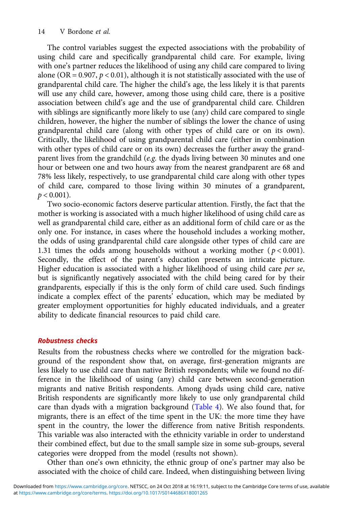The control variables suggest the expected associations with the probability of using child care and specifically grandparental child care. For example, living with one's partner reduces the likelihood of using any child care compared to living alone (OR =  $0.907$ ,  $p < 0.01$ ), although it is not statistically associated with the use of grandparental child care. The higher the child's age, the less likely it is that parents will use any child care, however, among those using child care, there is a positive association between child's age and the use of grandparental child care. Children with siblings are significantly more likely to use (any) child care compared to single children, however, the higher the number of siblings the lower the chance of using grandparental child care (along with other types of child care or on its own). Critically, the likelihood of using grandparental child care (either in combination with other types of child care or on its own) decreases the further away the grandparent lives from the grandchild (e.g. the dyads living between 30 minutes and one hour or between one and two hours away from the nearest grandparent are 68 and 78% less likely, respectively, to use grandparental child care along with other types of child care, compared to those living within 30 minutes of a grandparent,  $p < 0.001$ ).

Two socio-economic factors deserve particular attention. Firstly, the fact that the mother is working is associated with a much higher likelihood of using child care as well as grandparental child care, either as an additional form of child care or as the only one. For instance, in cases where the household includes a working mother, the odds of using grandparental child care alongside other types of child care are 1.31 times the odds among households without a working mother ( $p < 0.001$ ). Secondly, the effect of the parent's education presents an intricate picture. Higher education is associated with a higher likelihood of using child care per se, but is significantly negatively associated with the child being cared for by their grandparents, especially if this is the only form of child care used. Such findings indicate a complex effect of the parents' education, which may be mediated by greater employment opportunities for highly educated individuals, and a greater ability to dedicate financial resources to paid child care.

# Robustness checks

Results from the robustness checks where we controlled for the migration background of the respondent show that, on average, first-generation migrants are less likely to use child care than native British respondents; while we found no difference in the likelihood of using (any) child care between second-generation migrants and native British respondents. Among dyads using child care, native British respondents are significantly more likely to use only grandparental child care than dyads with a migration background ([Table 4](#page-14-0)). We also found that, for migrants, there is an effect of the time spent in the UK: the more time they have spent in the country, the lower the difference from native British respondents. This variable was also interacted with the ethnicity variable in order to understand their combined effect, but due to the small sample size in some sub-groups, several categories were dropped from the model (results not shown).

Other than one's own ethnicity, the ethnic group of one's partner may also be associated with the choice of child care. Indeed, when distinguishing between living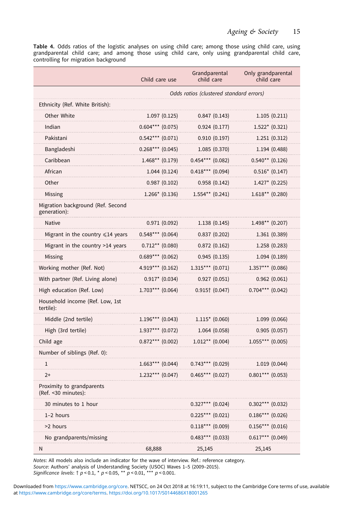<span id="page-14-0"></span>Table 4. Odds ratios of the logistic analyses on using child care; among those using child care, using grandparental child care; and among those using child care, only using grandparental child care, controlling for migration background

|                                                   | Child care use     | Grandparental<br>child care             | Only grandparental<br>child care |
|---------------------------------------------------|--------------------|-----------------------------------------|----------------------------------|
|                                                   |                    | Odds ratios (clustered standard errors) |                                  |
| Ethnicity (Ref. White British):                   |                    |                                         |                                  |
| Other White                                       | 1.097(0.125)       | 0.847(0.143)                            | 1.105(0.211)                     |
| Indian                                            | $0.604***$ (0.075) | 0.924(0.177)                            | $1.522*(0.321)$                  |
| Pakistani                                         | $0.542***$ (0.071) | 0.910(0.197)                            | 1.251(0.312)                     |
| Bangladeshi                                       | $0.268***$ (0.045) | 1.085 (0.370)                           | 1.194 (0.488)                    |
| Caribbean                                         | $1.468**$ (0.179)  | $0.454***$ (0.082)                      | $0.540**$ (0.126)                |
| African                                           | 1.044(0.124)       | $0.418***$ (0.094)                      | $0.516*$ (0.147)                 |
| Other                                             | 0.987(0.102)       | 0.958(0.142)                            | $1.427*$ (0.225)                 |
| Missing                                           | $1.266*$ (0.136)   | $1.554**$ (0.241)                       | $1.618**$ (0.280)                |
| Migration background (Ref. Second<br>generation): |                    |                                         |                                  |
| <b>Native</b>                                     | 0.971(0.092)       | 1.138(0.145)                            | $1.498**$ (0.207)                |
| Migrant in the country $\leq 14$ years            | $0.548***$ (0.064) | 0.837(0.202)                            | 1.361 (0.389)                    |
| Migrant in the country >14 years                  | $0.712**$ (0.080)  | 0.872(0.162)                            | 1.258 (0.283)                    |
| Missing                                           | $0.689***$ (0.062) | 0.945(0.135)                            | 1.094(0.189)                     |
| Working mother (Ref. Not)                         | $4.919***$ (0.162) | $1.315***$ (0.071)                      | $1.357***$ (0.086)               |
| With partner (Ref. Living alone)                  | $0.917* (0.034)$   | 0.927(0.051)                            | 0.962(0.061)                     |
| High education (Ref. Low)                         | $1.703***$ (0.064) | $0.915$ † $(0.047)$                     | $0.704***$ (0.042)               |
| Household income (Ref. Low, 1st<br>tertile):      |                    |                                         |                                  |
| Middle (2nd tertile)                              | $1.196***$ (0.043) | $1.115* (0.060)$                        | 1.099 (0.066)                    |
| High (3rd tertile)                                | $1.937***$ (0.072) | 1.064 (0.058)                           | 0.905(0.057)                     |
| Child age                                         | $0.872***$ (0.002) | $1.012**$ (0.004)                       | $1.055***$ (0.005)               |
| Number of siblings (Ref. 0):                      |                    |                                         |                                  |
| $\mathbf{1}$                                      | $1.663***$ (0.044) | $0.743***$ (0.029)                      | 1.019(0.044)                     |
| $2+$                                              | $1.232***$ (0.047) | $0.465***$ (0.027)                      | $0.801***$ (0.053)               |
| Proximity to grandparents<br>(Ref. <30 minutes):  |                    |                                         |                                  |
| 30 minutes to 1 hour                              |                    | $0.327***$ (0.024)                      | $0.302***$ (0.032)               |
| 1-2 hours                                         |                    | $0.225***$ (0.021)                      | $0.186***$ (0.026)               |
| >2 hours                                          |                    | $0.118***$ (0.009)                      | $0.156***$ (0.016)               |
| No grandparents/missing                           |                    | $0.483***$ (0.033)                      | $0.617***$ (0.049)               |
| N                                                 | 68,888             | 25,145                                  | 25,145                           |

Notes: All models also include an indicator for the wave of interview. Ref.: reference category. Source: Authors' analysis of Understanding Society (USOC) Waves 1–5 (2009–2015).<br>Significance levels: † p < 0.1, \* p < 0.05, \*\* p < 0.01, \*\*\* p < 0.001.

at [https://www.cambridge.org/core/terms.](https://www.cambridge.org/core/terms) <https://doi.org/10.1017/S0144686X18001265> Downloaded from [https://www.cambridge.org/core.](https://www.cambridge.org/core) NETSCC, on 24 Oct 2018 at 16:19:11, subject to the Cambridge Core terms of use, available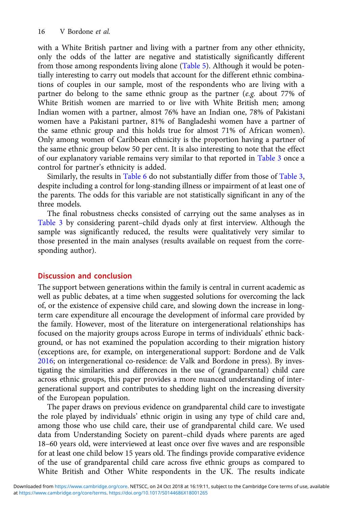with a White British partner and living with a partner from any other ethnicity, only the odds of the latter are negative and statistically significantly different from those among respondents living alone [\(Table 5\)](#page-16-0). Although it would be potentially interesting to carry out models that account for the different ethnic combinations of couples in our sample, most of the respondents who are living with a partner do belong to the same ethnic group as the partner (e.g. about 77% of White British women are married to or live with White British men; among Indian women with a partner, almost 76% have an Indian one, 78% of Pakistani women have a Pakistani partner, 81% of Bangladeshi women have a partner of the same ethnic group and this holds true for almost 71% of African women). Only among women of Caribbean ethnicity is the proportion having a partner of the same ethnic group below 50 per cent. It is also interesting to note that the effect of our explanatory variable remains very similar to that reported in [Table 3](#page-12-0) once a control for partner's ethnicity is added.

Similarly, the results in [Table 6](#page-17-0) do not substantially differ from those of [Table 3](#page-12-0), despite including a control for long-standing illness or impairment of at least one of the parents. The odds for this variable are not statistically significant in any of the three models.

The final robustness checks consisted of carrying out the same analyses as in [Table 3](#page-12-0) by considering parent–child dyads only at first interview. Although the sample was significantly reduced, the results were qualitatively very similar to those presented in the main analyses (results available on request from the corresponding author).

# Discussion and conclusion

The support between generations within the family is central in current academic as well as public debates, at a time when suggested solutions for overcoming the lack of, or the existence of expensive child care, and slowing down the increase in longterm care expenditure all encourage the development of informal care provided by the family. However, most of the literature on intergenerational relationships has focused on the majority groups across Europe in terms of individuals' ethnic background, or has not examined the population according to their migration history (exceptions are, for example, on intergenerational support: Bordone and de Valk [2016;](#page-20-0) on intergenerational co-residence: de Valk and Bordone in press). By investigating the similarities and differences in the use of (grandparental) child care across ethnic groups, this paper provides a more nuanced understanding of intergenerational support and contributes to shedding light on the increasing diversity of the European population.

The paper draws on previous evidence on grandparental child care to investigate the role played by individuals' ethnic origin in using any type of child care and, among those who use child care, their use of grandparental child care. We used data from Understanding Society on parent–child dyads where parents are aged 18–60 years old, were interviewed at least once over five waves and are responsible for at least one child below 15 years old. The findings provide comparative evidence of the use of grandparental child care across five ethnic groups as compared to White British and Other White respondents in the UK. The results indicate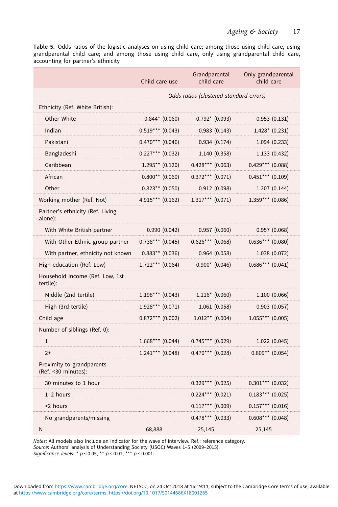<span id="page-16-0"></span>Table 5. Odds ratios of the logistic analyses on using child care; among those using child care, using grandparental child care; and among those using child care, only using grandparental child care, accounting for partner's ethnicity

|                                                   | Child care use     | Grandparental<br>child care             | Only grandparental<br>child care |
|---------------------------------------------------|--------------------|-----------------------------------------|----------------------------------|
|                                                   |                    | Odds ratios (clustered standard errors) |                                  |
| Ethnicity (Ref. White British):                   |                    |                                         |                                  |
| Other White                                       | $0.844*$ (0.060)   | $0.792* (0.093)$                        | 0.953(0.131)                     |
| Indian                                            | $0.519***$ (0.043) | 0.983(0.143)                            | $1.428*$ (0.231)                 |
| Pakistani                                         | $0.470***$ (0.046) | 0.934(0.174)                            | 1.094(0.233)                     |
| Bangladeshi                                       | $0.227***$ (0.032) | 1.140(0.358)                            | 1.133(0.432)                     |
| Caribbean                                         | $1.295**$ (0.120)  | $0.428***$ (0.063)                      | $0.429***$ (0.088)               |
| African                                           | $0.800**$ (0.060)  | $0.372***$ (0.071)                      | $0.451***$ (0.109)               |
| Other                                             | $0.823**$ (0.050)  | 0.912(0.098)                            | 1.207(0.144)                     |
| Working mother (Ref. Not)                         | $4.915***$ (0.162) | $1.317***$ (0.071)                      | $1.359***$ (0.086)               |
| Partner's ethnicity (Ref. Living<br>alone):       |                    |                                         |                                  |
| With White British partner                        | 0.990(0.042)       | 0.957(0.060)                            | 0.957(0.068)                     |
| With Other Ethnic group partner                   | $0.738***$ (0.045) | $0.626***$ (0.068)                      | $0.636***$ (0.080)               |
| With partner, ethnicity not known                 | $0.883**$ (0.036)  | 0.964(0.058)                            | 1.038 (0.072)                    |
| High education (Ref. Low)                         | $1.722***$ (0.064) | $0.900*$ (0.046)                        | $0.686***$ (0.041)               |
| Household income (Ref. Low, 1st<br>tertile):      |                    |                                         |                                  |
| Middle (2nd tertile)                              | $1.198***$ (0.043) | $1.116* (0.060)$                        | 1.100(0.066)                     |
| High (3rd tertile)                                | $1.928***$ (0.071) | 1.061(0.058)                            | 0.903(0.057)                     |
| Child age                                         | $0.872***$ (0.002) | $1.012**$ (0.004)                       | $1.055***$ (0.005)               |
| Number of siblings (Ref. 0):                      |                    |                                         |                                  |
| $\mathbf{1}$                                      | $1.668***$ (0.044) | $0.745***$ (0.029)                      | 1.022(0.045)                     |
| $2+$                                              | $1.241***$ (0.048) | $0.470***$ (0.028)                      | $0.809**$ (0.054)                |
| Proximity to grandparents<br>(Ref. < 30 minutes): |                    |                                         |                                  |
| 30 minutes to 1 hour                              |                    | $0.329***$ (0.025)                      | $0.301***$ (0.032)               |
| $1-2$ hours                                       |                    | $0.224***$ (0.021)                      | $0.183***$ (0.025)               |
| >2 hours                                          |                    | $0.117***$ (0.009)                      | $0.157***$ (0.016)               |
| No grandparents/missing                           |                    | $0.478***$ (0.033)                      | $0.608***$ (0.048)               |
| N                                                 | 68,888             | 25,145                                  | 25,145                           |

Notes: All models also include an indicator for the wave of interview. Ref.: reference category. Source: Authors' analysis of Understanding Society (USOC) Waves 1–5 (2009–2015).

Significance levels: \*  $p < 0.05$ , \*\*  $p < 0.01$ , \*\*\*  $p < 0.001$ .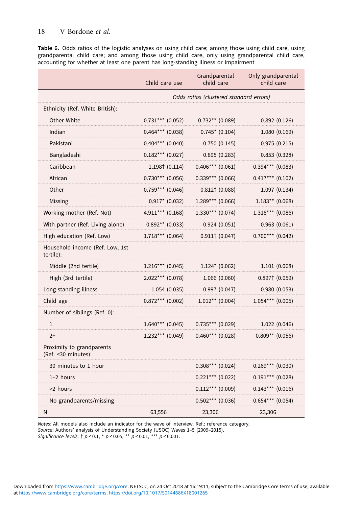<span id="page-17-0"></span>Table 6. Odds ratios of the logistic analyses on using child care; among those using child care, using grandparental child care; and among those using child care, only using grandparental child care, accounting for whether at least one parent has long-standing illness or impairment

|                                                   | Child care use     | Grandparental<br>child care             | Only grandparental<br>child care |
|---------------------------------------------------|--------------------|-----------------------------------------|----------------------------------|
|                                                   |                    | Odds ratios (clustered standard errors) |                                  |
| Ethnicity (Ref. White British):                   |                    |                                         |                                  |
| Other White                                       | $0.731***$ (0.052) | $0.732**$ (0.089)                       | 0.892(0.126)                     |
| Indian                                            | $0.464***$ (0.038) | $0.745*$ (0.104)                        | 1.080(0.169)                     |
| Pakistani                                         | $0.404***$ (0.040) | 0.750(0.145)                            | 0.975(0.215)                     |
| Bangladeshi                                       | $0.182***$ (0.027) | 0.895(0.283)                            | 0.853(0.328)                     |
| Caribbean                                         | $1.198†$ (0.114)   | $0.406***$ (0.061)                      | $0.394***$ (0.083)               |
| African                                           | $0.730***$ (0.056) | $0.339***$ (0.066)                      | $0.417***$ (0.102)               |
| Other                                             | $0.759***$ (0.046) | $0.812 \uparrow (0.088)$                | 1.097(0.134)                     |
| Missing                                           | $0.917*$ (0.032)   | $1.289***$ (0.066)                      | $1.183**$ (0.068)                |
| Working mother (Ref. Not)                         | $4.911***$ (0.168) | $1.330***$ (0.074)                      | $1.318***$ (0.086)               |
| With partner (Ref. Living alone)                  | $0.892**$ (0.033)  | 0.924(0.051)                            | 0.963(0.061)                     |
| High education (Ref. Low)                         | $1.718***$ (0.064) | $0.911$ † $(0.047)$                     | $0.700***$ (0.042)               |
| Household income (Ref. Low, 1st<br>tertile):      |                    |                                         |                                  |
| Middle (2nd tertile)                              | $1.216***$ (0.045) | $1.124* (0.062)$                        | 1.101(0.068)                     |
| High (3rd tertile)                                | $2.022***$ (0.078) | 1.066 (0.060)                           | $0.897 \uparrow (0.059)$         |
| Long-standing illness                             | 1.054(0.035)       | 0.997(0.047)                            | 0.980(0.053)                     |
| Child age                                         | $0.872***$ (0.002) | $1.012**$ (0.004)                       | $1.054***$ (0.005)               |
| Number of siblings (Ref. 0):                      |                    |                                         |                                  |
| $\mathbf{1}$                                      | $1.640***$ (0.045) | $0.735***$ (0.029)                      | 1.022 (0.046)                    |
| $2+$                                              | $1.232***$ (0.049) | $0.460***$ (0.028)                      | $0.809**$ (0.056)                |
| Proximity to grandparents<br>(Ref. < 30 minutes): |                    |                                         |                                  |
| 30 minutes to 1 hour                              |                    | $0.308***$ (0.024)                      | $0.269***$ (0.030)               |
| $1-2$ hours                                       |                    | $0.221***$ (0.022)                      | $0.191***$ (0.028)               |
| >2 hours                                          |                    | $0.112***$ (0.009)                      | $0.143***$ (0.016)               |
| No grandparents/missing                           |                    | $0.502***$ (0.036)                      | $0.654***$ (0.054)               |
| Ν                                                 | 63,556             | 23,306                                  | 23,306                           |

Notes: All models also include an indicator for the wave of interview. Ref.: reference category. Source: Authors' analysis of Understanding Society (USOC) Waves 1–5 (2009–2015).

Significance levels:  $\uparrow p < 0.1$ ,  $\uparrow p < 0.05$ ,  $\uparrow \uparrow p < 0.01$ ,  $\uparrow \uparrow \uparrow p < 0.001$ .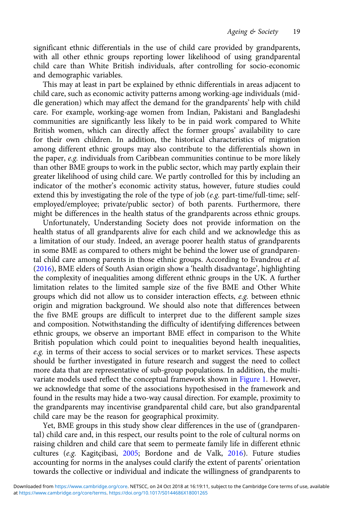significant ethnic differentials in the use of child care provided by grandparents, with all other ethnic groups reporting lower likelihood of using grandparental child care than White British individuals, after controlling for socio-economic and demographic variables.

This may at least in part be explained by ethnic differentials in areas adjacent to child care, such as economic activity patterns among working-age individuals (middle generation) which may affect the demand for the grandparents' help with child care. For example, working-age women from Indian, Pakistani and Bangladeshi communities are significantly less likely to be in paid work compared to White British women, which can directly affect the former groups' availability to care for their own children. In addition, the historical characteristics of migration among different ethnic groups may also contribute to the differentials shown in the paper, e.g. individuals from Caribbean communities continue to be more likely than other BME groups to work in the public sector, which may partly explain their greater likelihood of using child care. We partly controlled for this by including an indicator of the mother's economic activity status, however, future studies could extend this by investigating the role of the type of job (e.g. part-time/full-time; selfemployed/employee; private/public sector) of both parents. Furthermore, there might be differences in the health status of the grandparents across ethnic groups.

Unfortunately, Understanding Society does not provide information on the health status of all grandparents alive for each child and we acknowledge this as a limitation of our study. Indeed, an average poorer health status of grandparents in some BME as compared to others might be behind the lower use of grandparental child care among parents in those ethnic groups. According to Evandrou et al. [\(2016\)](#page-20-0), BME elders of South Asian origin show a 'health disadvantage', highlighting the complexity of inequalities among different ethnic groups in the UK. A further limitation relates to the limited sample size of the five BME and Other White groups which did not allow us to consider interaction effects, e.g. between ethnic origin and migration background. We should also note that differences between the five BME groups are difficult to interpret due to the different sample sizes and composition. Notwithstanding the difficulty of identifying differences between ethnic groups, we observe an important BME effect in comparison to the White British population which could point to inequalities beyond health inequalities, e.g. in terms of their access to social services or to market services. These aspects should be further investigated in future research and suggest the need to collect more data that are representative of sub-group populations. In addition, the multivariate models used reflect the conceptual framework shown in [Figure 1](#page-4-0). However, we acknowledge that some of the associations hypothesised in the framework and found in the results may hide a two-way causal direction. For example, proximity to the grandparents may incentivise grandparental child care, but also grandparental child care may be the reason for geographical proximity.

Yet, BME groups in this study show clear differences in the use of (grandparental) child care and, in this respect, our results point to the role of cultural norms on raising children and child care that seem to permeate family life in different ethnic cultures (e.g. Kagitçibasi, [2005](#page-20-0); Bordone and de Valk, [2016\)](#page-20-0). Future studies accounting for norms in the analyses could clarify the extent of parents' orientation towards the collective or individual and indicate the willingness of grandparents to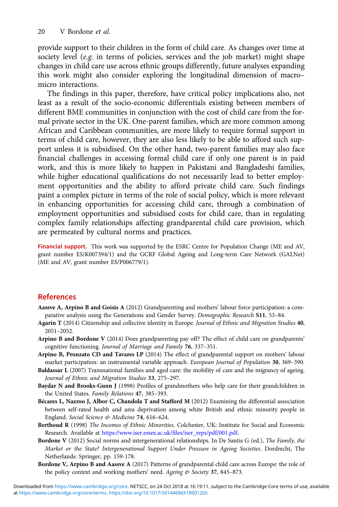<span id="page-19-0"></span>provide support to their children in the form of child care. As changes over time at society level (e.g. in terms of policies, services and the job market) might shape changes in child care use across ethnic groups differently, future analyses expanding this work might also consider exploring the longitudinal dimension of macro– micro interactions.

The findings in this paper, therefore, have critical policy implications also, not least as a result of the socio-economic differentials existing between members of different BME communities in conjunction with the cost of child care from the formal private sector in the UK. One-parent families, which are more common among African and Caribbean communities, are more likely to require formal support in terms of child care, however, they are also less likely to be able to afford such support unless it is subsidised. On the other hand, two-parent families may also face financial challenges in accessing formal child care if only one parent is in paid work, and this is more likely to happen in Pakistani and Bangladeshi families, while higher educational qualifications do not necessarily lead to better employment opportunities and the ability to afford private child care. Such findings paint a complex picture in terms of the role of social policy, which is more relevant in enhancing opportunities for accessing child care, through a combination of employment opportunities and subsidised costs for child care, than in regulating complex family relationships affecting grandparental child care provision, which are permeated by cultural norms and practices.

Financial support. This work was supported by the ESRC Centre for Population Change (ME and AV, grant number ES/K007394/1) and the GCRF Global Ageing and Long-term Care Network (GALNet) (ME and AV, grant number ES/P006779/1).

# References

- Aassve A, Arpino B and Goisis A (2012) Grandparenting and mothers' labour force participation: a comparative analysis using the Generations and Gender Survey. Demographic Research S11, 53-84.
- Agarin T (2014) Citizenship and collective identity in Europe. Journal of Ethnic and Migration Studies 40, 2051–2052.
- Arpino B and Bordone V (2014) Does grandparenting pay off? The effect of child care on grandparents' cognitive functioning. Journal of Marriage and Family 76, 337–351.
- Arpino B, Pronzato CD and Tavares LP (2014) The effect of grandparental support on mothers' labour market participation: an instrumental variable approach. European Journal of Population 30, 369–390.
- Baldassar L (2007) Transnational families and aged care: the mobility of care and the migrancy of ageing. Journal of Ethnic and Migration Studies 33, 275–297.
- Baydar N and Brooks-Gunn J (1998) Profiles of grandmothers who help care for their grandchildren in the United States. Family Relations 47, 385–393.
- Bécares L, Nazroo J, Albor C, Chandola T and Stafford M (2012) Examining the differential association between self-rated health and area deprivation among white British and ethnic minority people in England. Social Science & Medicine 74, 616-624.
- Berthoud R (1998) The Incomes of Ethnic Minorities. Colchester, UK: Institute for Social and Economic Research. Available at [https://www.iser.essex.ac.uk/files/iser\\_reps/pdf/001.pdf.](https://www.iser.essex.ac.uk/files/iser_reps/pdf/001.pdf)
- Bordone V (2012) Social norms and intergenerational relationships. In De Santis G (ed.), The Family, the Market or the State? Intergenerational Support Under Pressure in Ageing Societies. Dordrecht, The Netherlands: Springer, pp. 159-178.
- Bordone V, Arpino B and Aassve A (2017) Patterns of grandparental child care across Europe: the role of the policy context and working mothers' need. Ageing & Society 37, 845-873.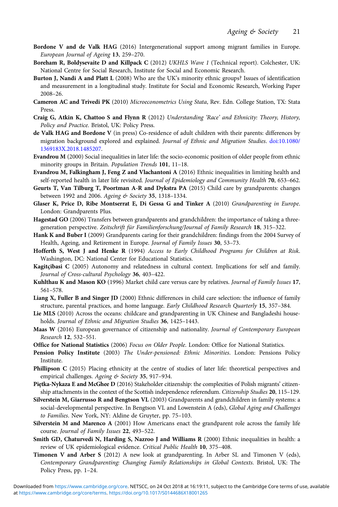- <span id="page-20-0"></span>Bordone V and de Valk HAG (2016) Intergenerational support among migrant families in Europe. European Journal of Ageing 13, 259–270.
- Boreham R, Boldysevaite D and Killpack C (2012) UKHLS Wave 1 (Technical report). Colchester, UK: National Centre for Social Research, Institute for Social and Economic Research.
- Burton J, Nandi A and Platt L (2008) Who are the UK's minority ethnic groups? Issues of identification and measurement in a longitudinal study. Institute for Social and Economic Research, Working Paper 2008–26.
- Cameron AC and Trivedi PK (2010) Microeconometrics Using Stata, Rev. Edn. College Station, TX: Stata Press.
- Craig G, Atkin K, Chattoo S and Flynn R (2012) Understanding 'Race' and Ethnicity: Theory, History, Policy and Practice. Bristol, UK: Policy Press.
- de Valk HAG and Bordone V (in press) Co-residence of adult children with their parents: differences by migration background explored and explained. Journal of Ethnic and Migration Studies. [doi:10.1080/](http://dx.doi.org/10.1080/1369183X.2018.1485207) [1369183X.2018.1485207.](http://dx.doi.org/10.1080/1369183X.2018.1485207)
- Evandrou M (2000) Social inequalities in later life: the socio-economic position of older people from ethnic minority groups in Britain. Population Trends 101, 11–18.
- Evandrou M, Falkingham J, Feng Z and Vlachantoni A (2016) Ethnic inequalities in limiting health and self-reported health in later life revisited. Journal of Epidemiology and Community Health 70, 653-662.
- Geurts T, Van Tilburg T, Poortman A-R and Dykstra PA (2015) Child care by grandparents: changes between 1992 and 2006. Ageing & Society 35, 1318-1334.
- Glaser K, Price D, Ribe Montserrat E, Di Gessa G and Tinker A (2010) Grandparenting in Europe. London: Grandparents Plus.
- Hagestad GO (2006) Transfers between grandparents and grandchildren: the importance of taking a threegeneration perspective. Zeitschrift für Familienforschung/Journal of Family Research 18, 315-322.
- Hank K and Buber I (2009) Grandparents caring for their grandchildren: findings from the 2004 Survey of Health, Ageing, and Retirement in Europe. Journal of Family Issues 30, 53–73.
- Hofferth S, West J and Henke R (1994) Access to Early Childhood Programs for Children at Risk. Washington, DC: National Center for Educational Statistics.
- Kagitçibasi C (2005) Autonomy and relatedness in cultural context. Implications for self and family. Journal of Cross-cultural Psychology 36, 403–422.
- Kuhlthau K and Mason KO (1996) Market child care versus care by relatives. Journal of Family Issues 17, 561–578.
- Liang X, Fuller B and Singer JD (2000) Ethnic differences in child care selection: the influence of family structure, parental practices, and home language. Early Childhood Research Quarterly 15, 357–384.
- Lie MLS (2010) Across the oceans: childcare and grandparenting in UK Chinese and Bangladeshi households. Journal of Ethnic and Migration Studies 36, 1425–1443.
- Maas W (2016) European governance of citizenship and nationality. Journal of Contemporary European Research 12, 532–551.
- Office for National Statistics (2006) Focus on Older People. London: Office for National Statistics.
- Pension Policy Institute (2003) The Under-pensioned: Ethnic Minorities. London: Pensions Policy Institute.
- Phillipson C (2015) Placing ethnicity at the centre of studies of later life: theoretical perspectives and empirical challenges. Ageing & Society 35, 917-934.
- Piętka-Nykaza E and McGhee D (2016) Stakeholder citizenship: the complexities of Polish migrants' citizenship attachments in the context of the Scottish independence referendum. Citizenship Studies 20, 115–129.
- Silverstein M, Giarrusso R and Bengtson VL (2003) Grandparents and grandchildren in family systems: a social-developmental perspective. In Bengtson VL and Lowenstein A (eds), Global Aging and Challenges to Families. New York, NY: Aldine de Gruyter, pp. 75–103.
- Silverstein M and Marenco A (2001) How Americans enact the grandparent role across the family life course. Journal of Family Issues 22, 493–522.
- Smith GD, Chaturvedi N, Harding S, Nazroo J and Williams R (2000) Ethnic inequalities in health: a review of UK epidemiological evidence. Critical Public Health 10, 375–408.
- Timonen V and Arber S (2012) A new look at grandparenting. In Arber SL and Timonen V (eds), Contemporary Grandparenting: Changing Family Relationships in Global Contexts. Bristol, UK: The Policy Press, pp. 1–24.